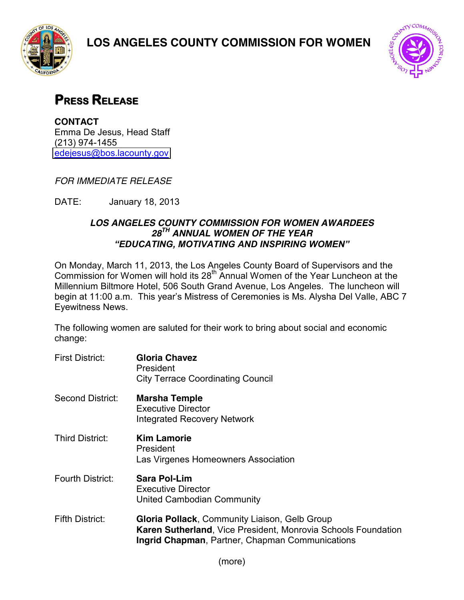





## **PRESS RELEASE**

**CONTACT** Emma De Jesus, Head Staff (213) 974-1455 [edejesus@bos.lacounty.gov](mailto:edejesus@bos.lacounty.gov)

*FOR IMMEDIATE RELEASE*

DATE: January 18, 2013

## *LOS ANGELES COUNTY COMMISSION FOR WOMEN AWARDEES 28TH ANNUAL WOMEN OF THE YEAR "EDUCATING. MOTIVATING AND INSPIRING WOMEN"*

On Monday, March 11, 2013, the Los Angeles County Board of Supervisors and the Commission for Women will hold its 28<sup>th</sup> Annual Women of the Year Luncheon at the Millennium Biltmore Hotel, 506 South Grand Avenue, Los Angeles. The luncheon will begin at 11:00 a.m. This year's Mistress of Ceremonies is Ms. Alysha Del Valle, ABC 7 Eyewitness News.

The following women are saluted for their work to bring about social and economic change:

First District: **Gloria Chavez** President City Terrace Coordinating Council Second District: **Marsha Temple** Executive Director Integrated Recovery Network Third District: **Kim Lamorie** President Las Virgenes Homeowners Association Fourth District: **Sara Pol-Lim** Executive Director United Cambodian Community Fifth District: **Gloria Pollack**, Community Liaison, Gelb Group **Karen Sutherland**, Vice President, Monrovia Schools Foundation **Ingrid Chapman**, Partner, Chapman Communications